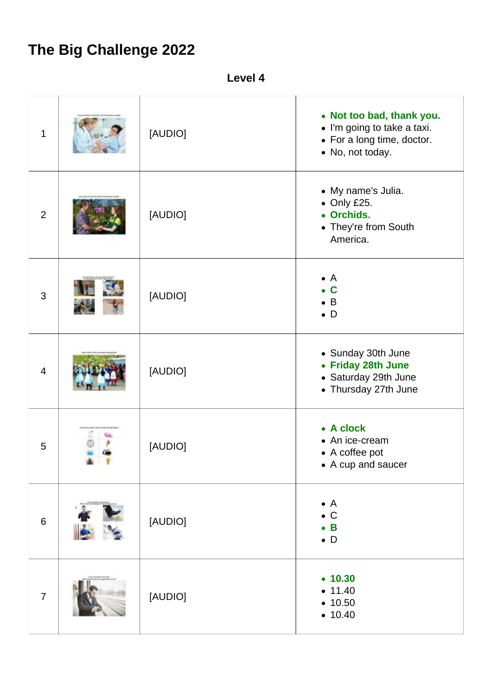## **The Big Challenge 2022**

**Level 4**

| $\mathbf{1}$   | [AUDIO] | • Not too bad, thank you.<br>• I'm going to take a taxi.<br>• For a long time, doctor.<br>• No, not today. |
|----------------|---------|------------------------------------------------------------------------------------------------------------|
| $\overline{2}$ | [AUDIO] | • My name's Julia.<br>$\bullet$ Only £25.<br>• Orchids.<br>• They're from South<br>America.                |
| 3              | [AUDIO] | $\bullet$ A<br>$\bullet$ C<br>$\bullet$ B<br>$\bullet$ D                                                   |
| $\overline{4}$ | [AUDIO] | • Sunday 30th June<br>• Friday 28th June<br>• Saturday 29th June<br>• Thursday 27th June                   |
| 5              | [AUDIO] | • A clock<br>• An ice-cream<br>• A coffee pot<br>• A cup and saucer                                        |
| $\,6$          | [AUDIO] | $\bullet$ A<br>$\bullet$ C<br>$\bullet$ B<br>$\bullet$ D                                                   |
| $\overline{7}$ | [AUDIO] | • 10.30<br>• 11.40<br>• 10.50<br>• 10.40                                                                   |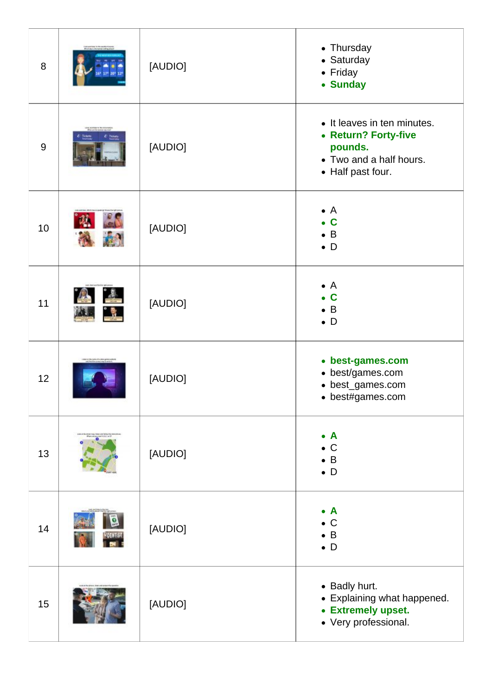| 8     | [AUDIO] | • Thursday<br>• Saturday<br>• Friday<br>• Sunday                                                               |
|-------|---------|----------------------------------------------------------------------------------------------------------------|
| $9\,$ | [AUDIO] | • It leaves in ten minutes.<br>• Return? Forty-five<br>pounds.<br>• Two and a half hours.<br>• Half past four. |
| 10    | [AUDIO] | $\bullet$ A<br>$\bullet$ C<br>$\bullet$ B<br>$\bullet$ D                                                       |
| 11    | [AUDIO] | $\bullet$ A<br>$\mathbf c$<br>$\bullet$ B<br>$\bullet$ D                                                       |
| 12    | [AUDIO] | • best-games.com<br>• best/games.com<br>• best_games.com<br>• best#games.com                                   |
| 13    | [AUDIO] | $\bullet$ A<br>$\bullet$ C<br>$\bullet$ B<br>$\bullet$ D                                                       |
| 14    | [AUDIO] | $\bullet$ A<br>$\bullet$ C<br>$\overline{B}$<br>$\bullet$ D                                                    |
| 15    | [AUDIO] | • Badly hurt.<br>• Explaining what happened.<br>• Extremely upset.<br>• Very professional.                     |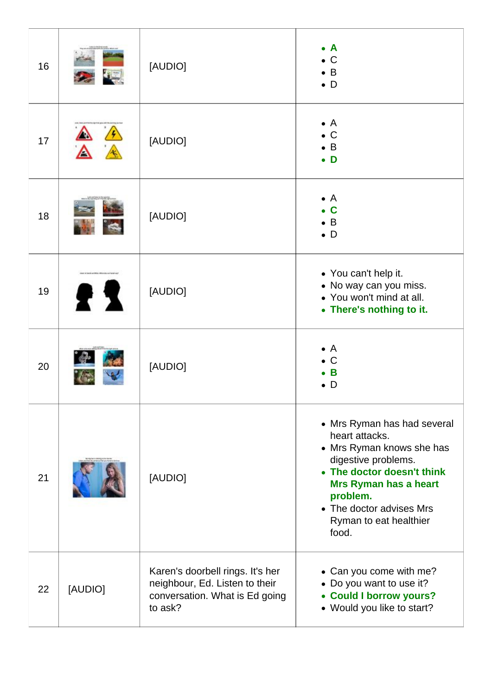| 16 |                             | [AUDIO]                                                                                                         | $\mathbf{A}$<br>$\mathsf{C}$<br>B<br>$\bullet$ D                                                                                                                                                                                    |
|----|-----------------------------|-----------------------------------------------------------------------------------------------------------------|-------------------------------------------------------------------------------------------------------------------------------------------------------------------------------------------------------------------------------------|
| 17 |                             | [AUDIO]                                                                                                         | $\bullet$ A<br>$\bullet$ C<br>$\mathsf B$<br>D                                                                                                                                                                                      |
| 18 |                             | [AUDIO]                                                                                                         | $\overline{A}$<br>$\bullet$<br>$\mathbf c$<br>B<br>$\bullet$ D                                                                                                                                                                      |
| 19 | a hard accepts security and | [AUDIO]                                                                                                         | • You can't help it.<br>• No way can you miss.<br>• You won't mind at all.<br>• There's nothing to it.                                                                                                                              |
| 20 |                             | [AUDIO]                                                                                                         | $\overline{A}$<br>C<br>B<br>D                                                                                                                                                                                                       |
| 21 |                             | [AUDIO]                                                                                                         | • Mrs Ryman has had several<br>heart attacks.<br>• Mrs Ryman knows she has<br>digestive problems.<br>• The doctor doesn't think<br>Mrs Ryman has a heart<br>problem.<br>• The doctor advises Mrs<br>Ryman to eat healthier<br>food. |
| 22 | [AUDIO]                     | Karen's doorbell rings. It's her<br>neighbour, Ed. Listen to their<br>conversation. What is Ed going<br>to ask? | • Can you come with me?<br>• Do you want to use it?<br><b>Could I borrow yours?</b><br>$\bullet$<br>• Would you like to start?                                                                                                      |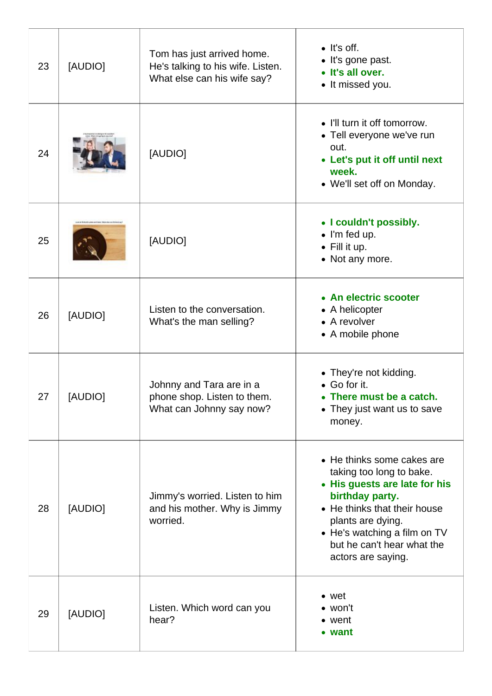| 23 | [AUDIO] | Tom has just arrived home.<br>He's talking to his wife. Listen.<br>What else can his wife say? | $\bullet$ It's off.<br>• It's gone past.<br>• It's all over.<br>• It missed you.                                                                                                                                                                    |
|----|---------|------------------------------------------------------------------------------------------------|-----------------------------------------------------------------------------------------------------------------------------------------------------------------------------------------------------------------------------------------------------|
| 24 |         | [AUDIO]                                                                                        | • I'll turn it off tomorrow.<br>• Tell everyone we've run<br>out.<br>• Let's put it off until next<br>week.<br>• We'll set off on Monday.                                                                                                           |
| 25 |         | [AUDIO]                                                                                        | • I couldn't possibly.<br>$\bullet$ I'm fed up.<br>$\bullet$ Fill it up.<br>• Not any more.                                                                                                                                                         |
| 26 | [AUDIO] | Listen to the conversation.<br>What's the man selling?                                         | • An electric scooter<br>• A helicopter<br>• A revolver<br>• A mobile phone                                                                                                                                                                         |
| 27 | [AUDIO] | Johnny and Tara are in a<br>phone shop. Listen to them.<br>What can Johnny say now?            | • They're not kidding.<br>• Go for it.<br>• There must be a catch.<br>• They just want us to save<br>money.                                                                                                                                         |
| 28 | [AUDIO] | Jimmy's worried. Listen to him<br>and his mother. Why is Jimmy<br>worried.                     | • He thinks some cakes are<br>taking too long to bake.<br>• His guests are late for his<br>birthday party.<br>• He thinks that their house<br>plants are dying.<br>• He's watching a film on TV<br>but he can't hear what the<br>actors are saying. |
| 29 | [AUDIO] | Listen. Which word can you<br>hear?                                                            | $\bullet$ wet<br>$\bullet$ won't<br>• went<br>• want                                                                                                                                                                                                |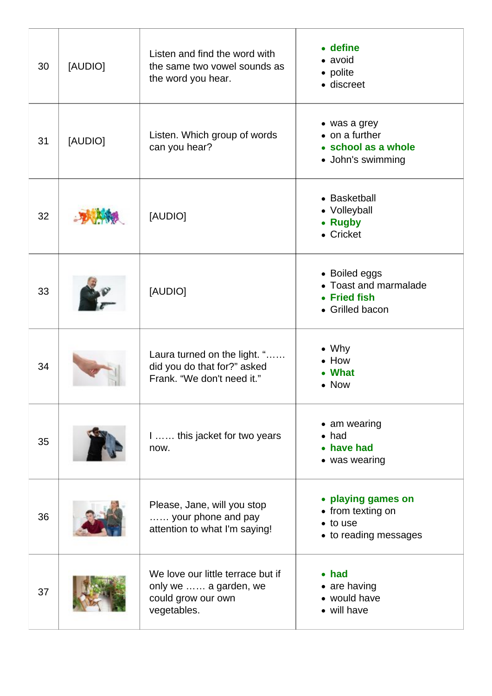| 30 | [AUDIO] | Listen and find the word with<br>the same two vowel sounds as<br>the word you hear.             | • define<br>• avoid<br>• polite<br>· discreet                                        |
|----|---------|-------------------------------------------------------------------------------------------------|--------------------------------------------------------------------------------------|
| 31 | [AUDIO] | Listen. Which group of words<br>can you hear?                                                   | • was a grey<br>$\bullet$ on a further<br>• school as a whole<br>• John's swimming   |
| 32 |         | [AUDIO]                                                                                         | • Basketball<br>• Volleyball<br>• Rugby<br>• Cricket                                 |
| 33 |         | [AUDIO]                                                                                         | • Boiled eggs<br>Toast and marmalade<br>• Fried fish<br>• Grilled bacon              |
| 34 |         | Laura turned on the light. "<br>did you do that for?" asked<br>Frank. "We don't need it."       | $\bullet$ Why<br>How<br><b>What</b><br><b>Now</b>                                    |
| 35 |         | 1 this jacket for two years<br>now.                                                             | • am wearing<br>$\bullet$ had<br>• have had<br>• was wearing                         |
| 36 |         | Please, Jane, will you stop<br>your phone and pay<br>attention to what I'm saying!              | • playing games on<br>• from texting on<br>$\bullet$ to use<br>• to reading messages |
| 37 |         | We love our little terrace but if<br>only we  a garden, we<br>could grow our own<br>vegetables. | $\bullet$ had<br>$\bullet$ are having<br>• would have<br>• will have                 |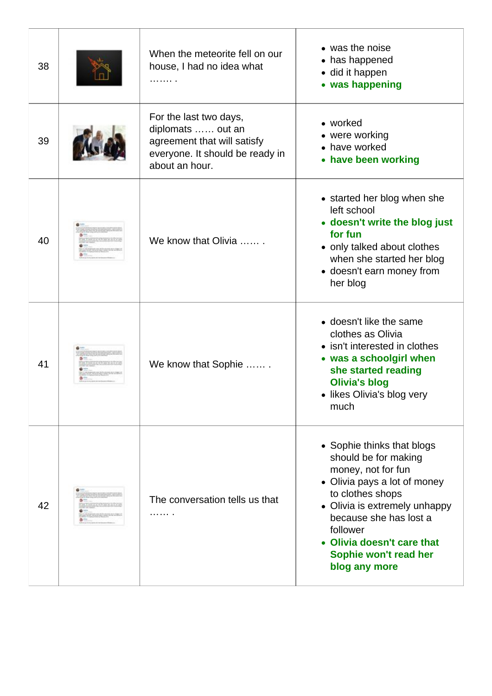| 38 | When the meteorite fell on our<br>house, I had no idea what<br>.                                                                | • was the noise<br>• has happened<br>• did it happen<br>• was happening                                                                                                                                                                                                   |
|----|---------------------------------------------------------------------------------------------------------------------------------|---------------------------------------------------------------------------------------------------------------------------------------------------------------------------------------------------------------------------------------------------------------------------|
| 39 | For the last two days,<br>diplomats  out an<br>agreement that will satisfy<br>everyone. It should be ready in<br>about an hour. | • worked<br>• were working<br>• have worked<br>• have been working                                                                                                                                                                                                        |
| 40 | We know that Olivia                                                                                                             | • started her blog when she<br>left school<br>• doesn't write the blog just<br>for fun<br>• only talked about clothes<br>when she started her blog<br>• doesn't earn money from<br>her blog                                                                               |
| 41 | We know that Sophie                                                                                                             | • doesn't like the same<br>clothes as Olivia<br>• isn't interested in clothes<br>• was a schoolgirl when<br>she started reading<br><b>Olivia's blog</b><br>• likes Olivia's blog very<br>much                                                                             |
| 42 | The conversation tells us that                                                                                                  | • Sophie thinks that blogs<br>should be for making<br>money, not for fun<br>• Olivia pays a lot of money<br>to clothes shops<br>• Olivia is extremely unhappy<br>because she has lost a<br>follower<br>Olivia doesn't care that<br>Sophie won't read her<br>blog any more |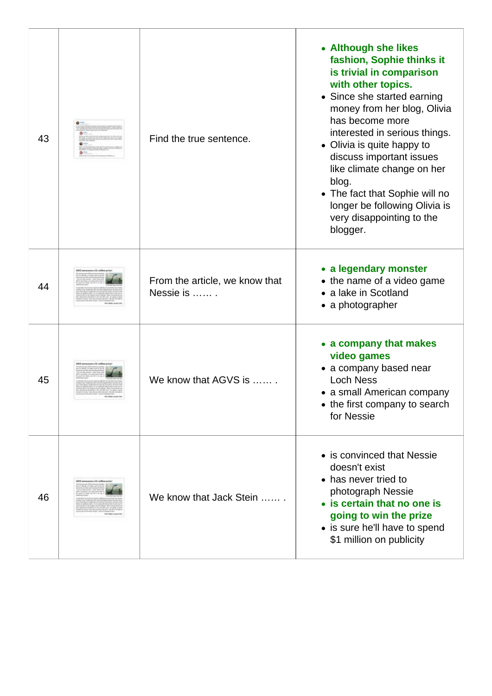| 43 |                             | Find the true sentence.                     | • Although she likes<br>fashion, Sophie thinks it<br>is trivial in comparison<br>with other topics.<br>• Since she started earning<br>money from her blog, Olivia<br>has become more<br>interested in serious things.<br>• Olivia is quite happy to<br>discuss important issues<br>like climate change on her<br>blog.<br>• The fact that Sophie will no<br>longer be following Olivia is<br>very disappointing to the<br>blogger. |
|----|-----------------------------|---------------------------------------------|------------------------------------------------------------------------------------------------------------------------------------------------------------------------------------------------------------------------------------------------------------------------------------------------------------------------------------------------------------------------------------------------------------------------------------|
| 44 |                             | From the article, we know that<br>Nessie is | • a legendary monster<br>• the name of a video game<br>• a lake in Scotland<br>• a photographer                                                                                                                                                                                                                                                                                                                                    |
| 45 |                             | We know that AGVS is                        | • a company that makes<br>video games<br>• a company based near<br><b>Loch Ness</b><br>• a small American company<br>• the first company to search<br>for Nessie                                                                                                                                                                                                                                                                   |
| 46 | ti announces a 11 million p | We know that Jack Stein                     | • is convinced that Nessie<br>doesn't exist<br>• has never tried to<br>photograph Nessie<br>• is certain that no one is<br>going to win the prize<br>• is sure he'll have to spend<br>\$1 million on publicity                                                                                                                                                                                                                     |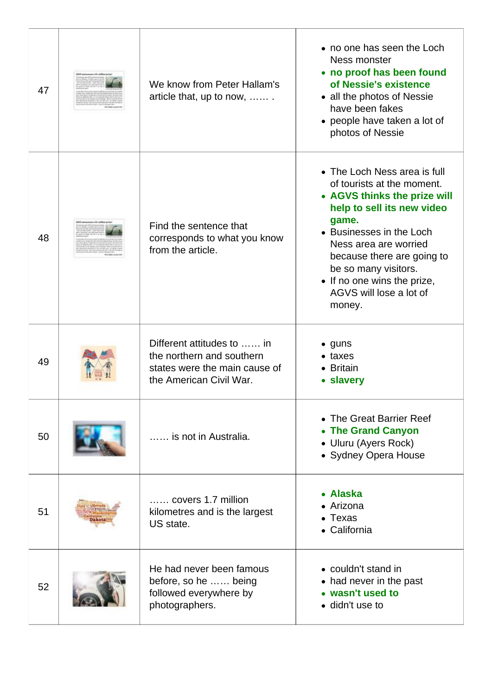| 47 | announces a 11 million p | We know from Peter Hallam's<br>article that, up to now,                                                             | • no one has seen the Loch<br>Ness monster<br>• no proof has been found<br>of Nessie's existence<br>• all the photos of Nessie<br>have been fakes<br>• people have taken a lot of<br>photos of Nessie                                                                                                            |
|----|--------------------------|---------------------------------------------------------------------------------------------------------------------|------------------------------------------------------------------------------------------------------------------------------------------------------------------------------------------------------------------------------------------------------------------------------------------------------------------|
| 48 |                          | Find the sentence that<br>corresponds to what you know<br>from the article.                                         | • The Loch Ness area is full<br>of tourists at the moment.<br>• AGVS thinks the prize will<br>help to sell its new video<br>game.<br>• Businesses in the Loch<br>Ness area are worried<br>because there are going to<br>be so many visitors.<br>• If no one wins the prize,<br>AGVS will lose a lot of<br>money. |
| 49 |                          | Different attitudes to  in<br>the northern and southern<br>states were the main cause of<br>the American Civil War. | $\bullet$ guns<br>$\bullet$ taxes<br>• Britain<br>• slavery                                                                                                                                                                                                                                                      |
| 50 |                          | is not in Australia.                                                                                                | • The Great Barrier Reef<br><b>The Grand Canyon</b><br>• Uluru (Ayers Rock)<br>• Sydney Opera House                                                                                                                                                                                                              |
| 51 |                          | covers 1.7 million<br>kilometres and is the largest<br>US state.                                                    | • Alaska<br>• Arizona<br>Texas<br>• California                                                                                                                                                                                                                                                                   |
| 52 |                          | He had never been famous<br>before, so he  being<br>followed everywhere by<br>photographers.                        | • couldn't stand in<br>• had never in the past<br>• wasn't used to<br>• didn't use to                                                                                                                                                                                                                            |